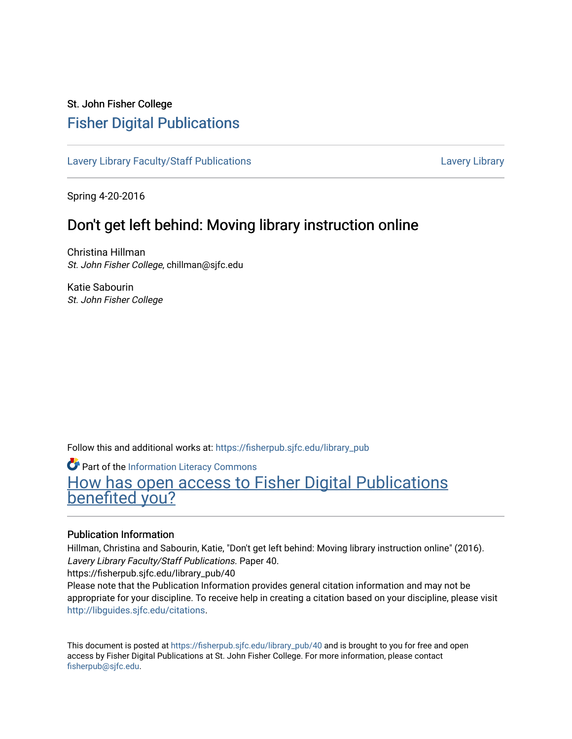## St. John Fisher College [Fisher Digital Publications](https://fisherpub.sjfc.edu/)

[Lavery Library Faculty/Staff Publications](https://fisherpub.sjfc.edu/library_pub) **Latter Controllery Library Library** Lavery Library

Spring 4-20-2016

# Don't get left behind: Moving library instruction online

Christina Hillman St. John Fisher College, chillman@sjfc.edu

Katie Sabourin St. John Fisher College

Follow this and additional works at: [https://fisherpub.sjfc.edu/library\\_pub](https://fisherpub.sjfc.edu/library_pub?utm_source=fisherpub.sjfc.edu%2Flibrary_pub%2F40&utm_medium=PDF&utm_campaign=PDFCoverPages)

Part of the [Information Literacy Commons](http://network.bepress.com/hgg/discipline/1243?utm_source=fisherpub.sjfc.edu%2Flibrary_pub%2F40&utm_medium=PDF&utm_campaign=PDFCoverPages) [How has open access to Fisher Digital Publications](https://docs.google.com/forms/d/14zrnDfH9d1wcdq8oG_-gFabAsxfcH5claltx85ZWyTg/viewform?entry.1394608989=https://fisherpub.sjfc.edu/library_pub/40%3Chttps://docs.google.com/forms/d/14zrnDfH9d1wcdq8oG_-gFabAsxfcH5claltx85ZWyTg/viewform?entry.1394608989=%7bhttps://fisherpub.sjfc.edu/library_pub/40%7d) [benefited you?](https://docs.google.com/forms/d/14zrnDfH9d1wcdq8oG_-gFabAsxfcH5claltx85ZWyTg/viewform?entry.1394608989=https://fisherpub.sjfc.edu/library_pub/40%3Chttps://docs.google.com/forms/d/14zrnDfH9d1wcdq8oG_-gFabAsxfcH5claltx85ZWyTg/viewform?entry.1394608989=%7bhttps://fisherpub.sjfc.edu/library_pub/40%7d)

### Publication Information

Hillman, Christina and Sabourin, Katie, "Don't get left behind: Moving library instruction online" (2016). Lavery Library Faculty/Staff Publications. Paper 40.

https://fisherpub.sjfc.edu/library\_pub/40

Please note that the Publication Information provides general citation information and may not be appropriate for your discipline. To receive help in creating a citation based on your discipline, please visit [http://libguides.sjfc.edu/citations.](http://libguides.sjfc.edu/citations)

This document is posted at [https://fisherpub.sjfc.edu/library\\_pub/40](https://fisherpub.sjfc.edu/library_pub/40) and is brought to you for free and open access by Fisher Digital Publications at St. John Fisher College. For more information, please contact [fisherpub@sjfc.edu](mailto:fisherpub@sjfc.edu).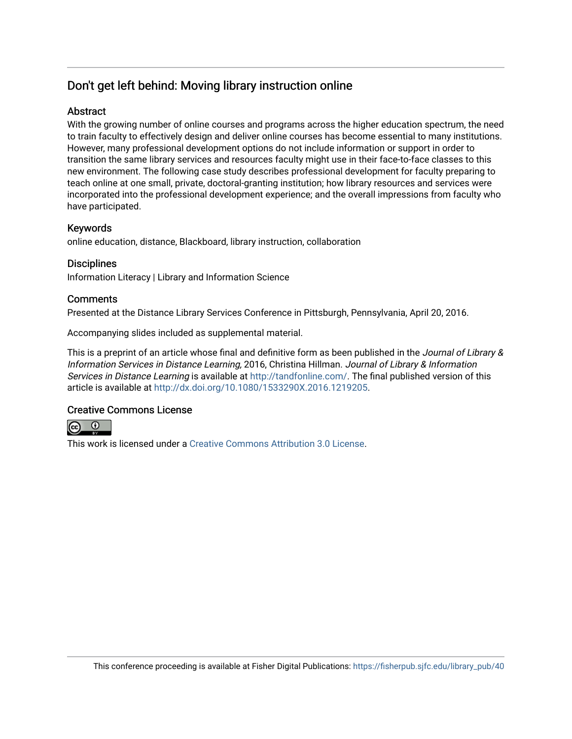## Don't get left behind: Moving library instruction online

## Abstract

With the growing number of online courses and programs across the higher education spectrum, the need to train faculty to effectively design and deliver online courses has become essential to many institutions. However, many professional development options do not include information or support in order to transition the same library services and resources faculty might use in their face-to-face classes to this new environment. The following case study describes professional development for faculty preparing to teach online at one small, private, doctoral-granting institution; how library resources and services were incorporated into the professional development experience; and the overall impressions from faculty who have participated.

## Keywords

online education, distance, Blackboard, library instruction, collaboration

## **Disciplines**

Information Literacy | Library and Information Science

## **Comments**

Presented at the Distance Library Services Conference in Pittsburgh, Pennsylvania, April 20, 2016.

Accompanying slides included as supplemental material.

This is a preprint of an article whose final and definitive form as been published in the Journal of Library & Information Services in Distance Learning, 2016, Christina Hillman. Journal of Library & Information Services in Distance Learning is available at [http://tandfonline.com/.](http://tandfonline.com/) The final published version of this article is available at [http://dx.doi.org/10.1080/1533290X.2016.1219205.](http://dx.doi.org/10.1080/1533290X.2016.1219205)

## Creative Commons License



This work is licensed under a [Creative Commons Attribution 3.0 License](https://creativecommons.org/licenses/by/3.0/).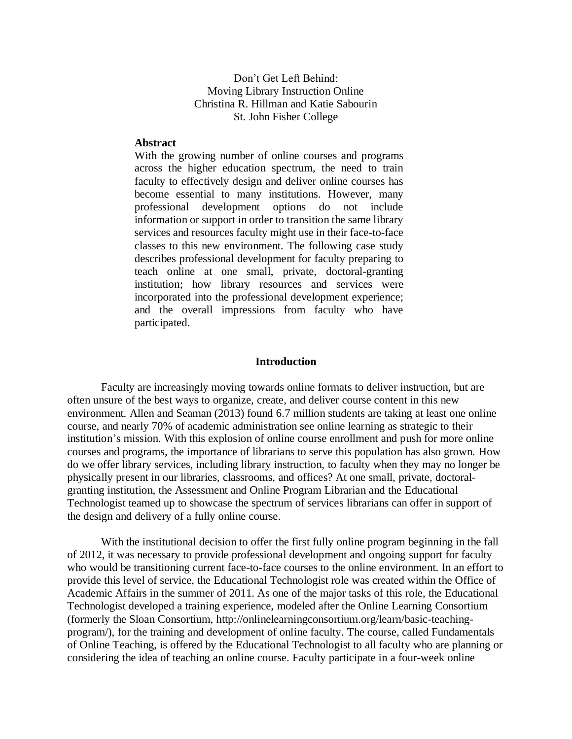Don't Get Left Behind: Moving Library Instruction Online Christina R. Hillman and Katie Sabourin St. John Fisher College

## **Abstract**

With the growing number of online courses and programs across the higher education spectrum, the need to train faculty to effectively design and deliver online courses has become essential to many institutions. However, many professional development options do not include information or support in order to transition the same library services and resources faculty might use in their face-to-face classes to this new environment. The following case study describes professional development for faculty preparing to teach online at one small, private, doctoral-granting institution; how library resources and services were incorporated into the professional development experience; and the overall impressions from faculty who have participated.

#### **Introduction**

Faculty are increasingly moving towards online formats to deliver instruction, but are often unsure of the best ways to organize, create, and deliver course content in this new environment. Allen and Seaman (2013) found 6.7 million students are taking at least one online course, and nearly 70% of academic administration see online learning as strategic to their institution's mission. With this explosion of online course enrollment and push for more online courses and programs, the importance of librarians to serve this population has also grown. How do we offer library services, including library instruction, to faculty when they may no longer be physically present in our libraries, classrooms, and offices? At one small, private, doctoralgranting institution, the Assessment and Online Program Librarian and the Educational Technologist teamed up to showcase the spectrum of services librarians can offer in support of the design and delivery of a fully online course.

With the institutional decision to offer the first fully online program beginning in the fall of 2012, it was necessary to provide professional development and ongoing support for faculty who would be transitioning current face-to-face courses to the online environment. In an effort to provide this level of service, the Educational Technologist role was created within the Office of Academic Affairs in the summer of 2011. As one of the major tasks of this role, the Educational Technologist developed a training experience, modeled after the Online Learning Consortium (formerly the Sloan Consortium, http://onlinelearningconsortium.org/learn/basic-teachingprogram/), for the training and development of online faculty. The course, called Fundamentals of Online Teaching, is offered by the Educational Technologist to all faculty who are planning or considering the idea of teaching an online course. Faculty participate in a four-week online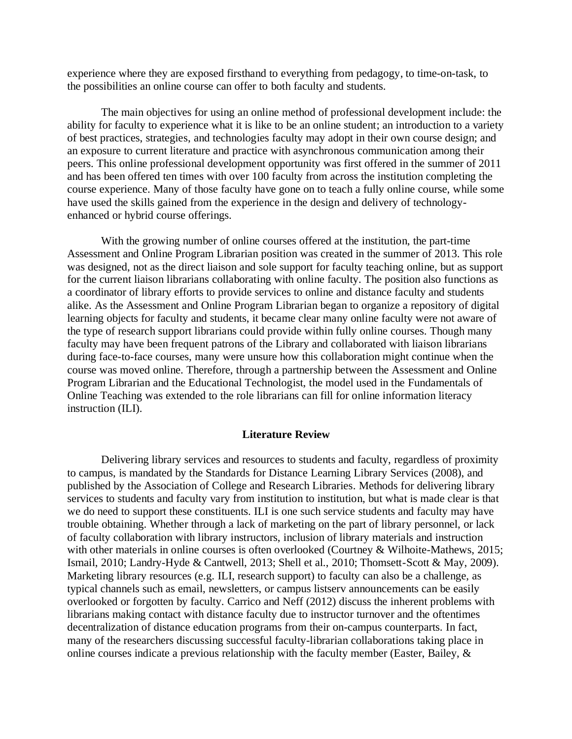experience where they are exposed firsthand to everything from pedagogy, to time-on-task, to the possibilities an online course can offer to both faculty and students.

The main objectives for using an online method of professional development include: the ability for faculty to experience what it is like to be an online student; an introduction to a variety of best practices, strategies, and technologies faculty may adopt in their own course design; and an exposure to current literature and practice with asynchronous communication among their peers. This online professional development opportunity was first offered in the summer of 2011 and has been offered ten times with over 100 faculty from across the institution completing the course experience. Many of those faculty have gone on to teach a fully online course, while some have used the skills gained from the experience in the design and delivery of technologyenhanced or hybrid course offerings.

With the growing number of online courses offered at the institution, the part-time Assessment and Online Program Librarian position was created in the summer of 2013. This role was designed, not as the direct liaison and sole support for faculty teaching online, but as support for the current liaison librarians collaborating with online faculty. The position also functions as a coordinator of library efforts to provide services to online and distance faculty and students alike. As the Assessment and Online Program Librarian began to organize a repository of digital learning objects for faculty and students, it became clear many online faculty were not aware of the type of research support librarians could provide within fully online courses. Though many faculty may have been frequent patrons of the Library and collaborated with liaison librarians during face-to-face courses, many were unsure how this collaboration might continue when the course was moved online. Therefore, through a partnership between the Assessment and Online Program Librarian and the Educational Technologist, the model used in the Fundamentals of Online Teaching was extended to the role librarians can fill for online information literacy instruction (ILI).

#### **Literature Review**

Delivering library services and resources to students and faculty, regardless of proximity to campus, is mandated by the Standards for Distance Learning Library Services (2008), and published by the Association of College and Research Libraries. Methods for delivering library services to students and faculty vary from institution to institution, but what is made clear is that we do need to support these constituents. ILI is one such service students and faculty may have trouble obtaining. Whether through a lack of marketing on the part of library personnel, or lack of faculty collaboration with library instructors, inclusion of library materials and instruction with other materials in online courses is often overlooked (Courtney & Wilhoite-Mathews, 2015; Ismail, 2010; Landry-Hyde & Cantwell, 2013; Shell et al., 2010; Thomsett-Scott & May, 2009). Marketing library resources (e.g. ILI, research support) to faculty can also be a challenge, as typical channels such as email, newsletters, or campus listserv announcements can be easily overlooked or forgotten by faculty. Carrico and Neff (2012) discuss the inherent problems with librarians making contact with distance faculty due to instructor turnover and the oftentimes decentralization of distance education programs from their on-campus counterparts. In fact, many of the researchers discussing successful faculty-librarian collaborations taking place in online courses indicate a previous relationship with the faculty member (Easter, Bailey, &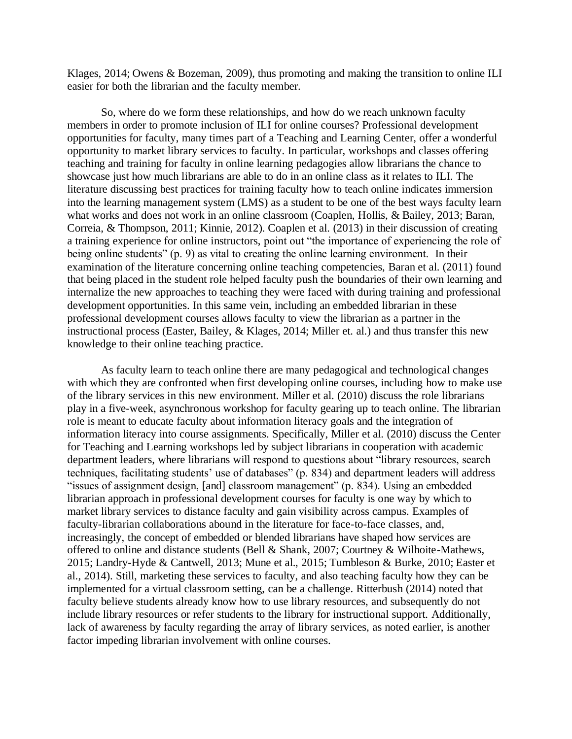Klages, 2014; Owens & Bozeman, 2009), thus promoting and making the transition to online ILI easier for both the librarian and the faculty member.

So, where do we form these relationships, and how do we reach unknown faculty members in order to promote inclusion of ILI for online courses? Professional development opportunities for faculty, many times part of a Teaching and Learning Center, offer a wonderful opportunity to market library services to faculty. In particular, workshops and classes offering teaching and training for faculty in online learning pedagogies allow librarians the chance to showcase just how much librarians are able to do in an online class as it relates to ILI. The literature discussing best practices for training faculty how to teach online indicates immersion into the learning management system (LMS) as a student to be one of the best ways faculty learn what works and does not work in an online classroom (Coaplen, Hollis, & Bailey, 2013; Baran, Correia, & Thompson, 2011; Kinnie, 2012). Coaplen et al. (2013) in their discussion of creating a training experience for online instructors, point out "the importance of experiencing the role of being online students" (p. 9) as vital to creating the online learning environment. In their examination of the literature concerning online teaching competencies, Baran et al. (2011) found that being placed in the student role helped faculty push the boundaries of their own learning and internalize the new approaches to teaching they were faced with during training and professional development opportunities. In this same vein, including an embedded librarian in these professional development courses allows faculty to view the librarian as a partner in the instructional process (Easter, Bailey, & Klages, 2014; Miller et. al.) and thus transfer this new knowledge to their online teaching practice.

As faculty learn to teach online there are many pedagogical and technological changes with which they are confronted when first developing online courses, including how to make use of the library services in this new environment. Miller et al. (2010) discuss the role librarians play in a five-week, asynchronous workshop for faculty gearing up to teach online. The librarian role is meant to educate faculty about information literacy goals and the integration of information literacy into course assignments. Specifically, Miller et al. (2010) discuss the Center for Teaching and Learning workshops led by subject librarians in cooperation with academic department leaders, where librarians will respond to questions about "library resources, search techniques, facilitating students' use of databases" (p. 834) and department leaders will address "issues of assignment design, [and] classroom management" (p. 834). Using an embedded librarian approach in professional development courses for faculty is one way by which to market library services to distance faculty and gain visibility across campus. Examples of faculty-librarian collaborations abound in the literature for face-to-face classes, and, increasingly, the concept of embedded or blended librarians have shaped how services are offered to online and distance students (Bell & Shank, 2007; Courtney & Wilhoite-Mathews, 2015; Landry-Hyde & Cantwell, 2013; Mune et al., 2015; Tumbleson & Burke, 2010; Easter et al., 2014). Still, marketing these services to faculty, and also teaching faculty how they can be implemented for a virtual classroom setting, can be a challenge. Ritterbush (2014) noted that faculty believe students already know how to use library resources, and subsequently do not include library resources or refer students to the library for instructional support. Additionally, lack of awareness by faculty regarding the array of library services, as noted earlier, is another factor impeding librarian involvement with online courses.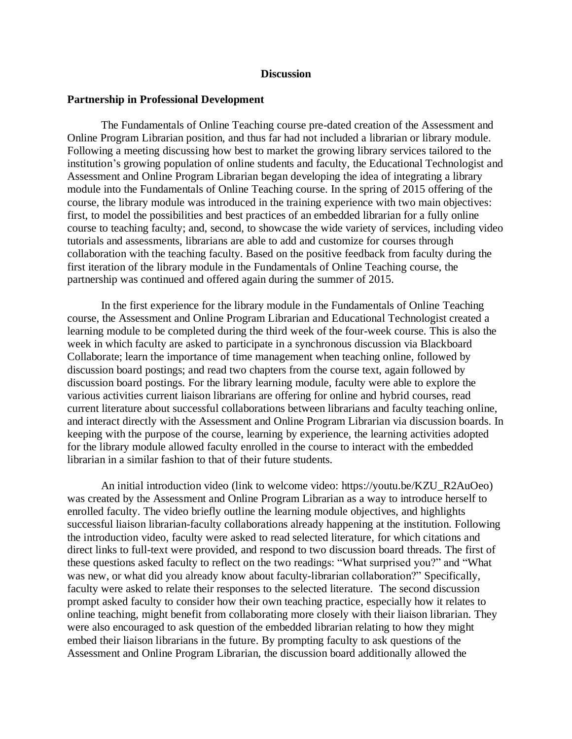#### **Discussion**

#### **Partnership in Professional Development**

The Fundamentals of Online Teaching course pre-dated creation of the Assessment and Online Program Librarian position, and thus far had not included a librarian or library module. Following a meeting discussing how best to market the growing library services tailored to the institution's growing population of online students and faculty, the Educational Technologist and Assessment and Online Program Librarian began developing the idea of integrating a library module into the Fundamentals of Online Teaching course. In the spring of 2015 offering of the course, the library module was introduced in the training experience with two main objectives: first, to model the possibilities and best practices of an embedded librarian for a fully online course to teaching faculty; and, second, to showcase the wide variety of services, including video tutorials and assessments, librarians are able to add and customize for courses through collaboration with the teaching faculty. Based on the positive feedback from faculty during the first iteration of the library module in the Fundamentals of Online Teaching course, the partnership was continued and offered again during the summer of 2015.

In the first experience for the library module in the Fundamentals of Online Teaching course, the Assessment and Online Program Librarian and Educational Technologist created a learning module to be completed during the third week of the four-week course. This is also the week in which faculty are asked to participate in a synchronous discussion via Blackboard Collaborate; learn the importance of time management when teaching online, followed by discussion board postings; and read two chapters from the course text, again followed by discussion board postings. For the library learning module, faculty were able to explore the various activities current liaison librarians are offering for online and hybrid courses, read current literature about successful collaborations between librarians and faculty teaching online, and interact directly with the Assessment and Online Program Librarian via discussion boards. In keeping with the purpose of the course, learning by experience, the learning activities adopted for the library module allowed faculty enrolled in the course to interact with the embedded librarian in a similar fashion to that of their future students.

An initial introduction video (link to welcome video: https://youtu.be/KZU\_R2AuOeo) was created by the Assessment and Online Program Librarian as a way to introduce herself to enrolled faculty. The video briefly outline the learning module objectives, and highlights successful liaison librarian-faculty collaborations already happening at the institution. Following the introduction video, faculty were asked to read selected literature, for which citations and direct links to full-text were provided, and respond to two discussion board threads. The first of these questions asked faculty to reflect on the two readings: "What surprised you?" and "What was new, or what did you already know about faculty-librarian collaboration?" Specifically, faculty were asked to relate their responses to the selected literature. The second discussion prompt asked faculty to consider how their own teaching practice, especially how it relates to online teaching, might benefit from collaborating more closely with their liaison librarian. They were also encouraged to ask question of the embedded librarian relating to how they might embed their liaison librarians in the future. By prompting faculty to ask questions of the Assessment and Online Program Librarian, the discussion board additionally allowed the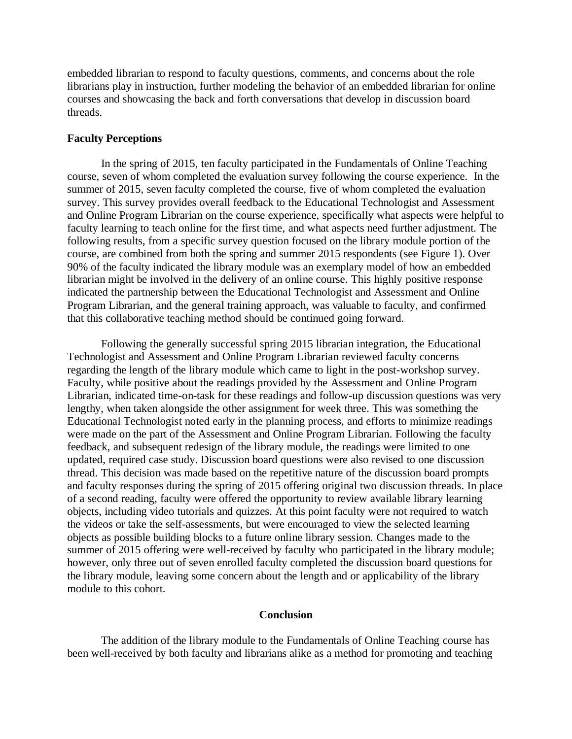embedded librarian to respond to faculty questions, comments, and concerns about the role librarians play in instruction, further modeling the behavior of an embedded librarian for online courses and showcasing the back and forth conversations that develop in discussion board threads.

### **Faculty Perceptions**

In the spring of 2015, ten faculty participated in the Fundamentals of Online Teaching course, seven of whom completed the evaluation survey following the course experience. In the summer of 2015, seven faculty completed the course, five of whom completed the evaluation survey. This survey provides overall feedback to the Educational Technologist and Assessment and Online Program Librarian on the course experience, specifically what aspects were helpful to faculty learning to teach online for the first time, and what aspects need further adjustment. The following results, from a specific survey question focused on the library module portion of the course, are combined from both the spring and summer 2015 respondents (see Figure 1). Over 90% of the faculty indicated the library module was an exemplary model of how an embedded librarian might be involved in the delivery of an online course. This highly positive response indicated the partnership between the Educational Technologist and Assessment and Online Program Librarian, and the general training approach, was valuable to faculty, and confirmed that this collaborative teaching method should be continued going forward.

Following the generally successful spring 2015 librarian integration, the Educational Technologist and Assessment and Online Program Librarian reviewed faculty concerns regarding the length of the library module which came to light in the post-workshop survey. Faculty, while positive about the readings provided by the Assessment and Online Program Librarian, indicated time-on-task for these readings and follow-up discussion questions was very lengthy, when taken alongside the other assignment for week three. This was something the Educational Technologist noted early in the planning process, and efforts to minimize readings were made on the part of the Assessment and Online Program Librarian. Following the faculty feedback, and subsequent redesign of the library module, the readings were limited to one updated, required case study. Discussion board questions were also revised to one discussion thread. This decision was made based on the repetitive nature of the discussion board prompts and faculty responses during the spring of 2015 offering original two discussion threads. In place of a second reading, faculty were offered the opportunity to review available library learning objects, including video tutorials and quizzes. At this point faculty were not required to watch the videos or take the self-assessments, but were encouraged to view the selected learning objects as possible building blocks to a future online library session. Changes made to the summer of 2015 offering were well-received by faculty who participated in the library module; however, only three out of seven enrolled faculty completed the discussion board questions for the library module, leaving some concern about the length and or applicability of the library module to this cohort.

### **Conclusion**

The addition of the library module to the Fundamentals of Online Teaching course has been well-received by both faculty and librarians alike as a method for promoting and teaching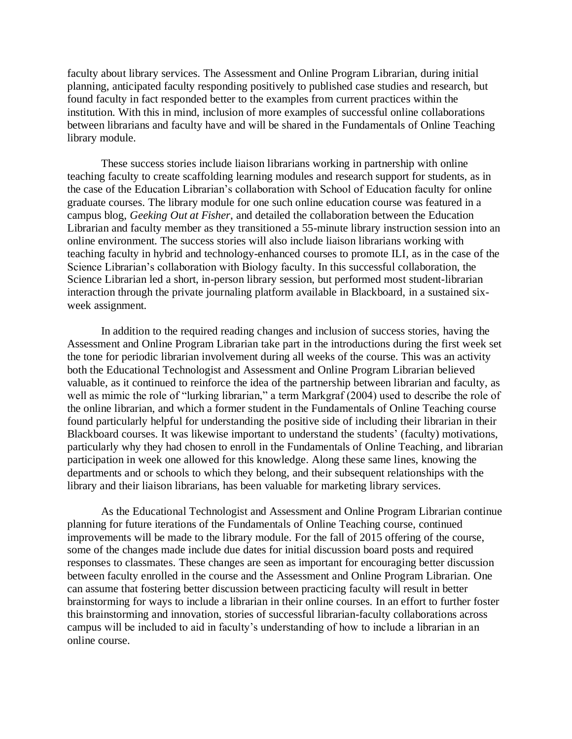faculty about library services. The Assessment and Online Program Librarian, during initial planning, anticipated faculty responding positively to published case studies and research, but found faculty in fact responded better to the examples from current practices within the institution. With this in mind, inclusion of more examples of successful online collaborations between librarians and faculty have and will be shared in the Fundamentals of Online Teaching library module.

These success stories include liaison librarians working in partnership with online teaching faculty to create scaffolding learning modules and research support for students, as in the case of the Education Librarian's collaboration with School of Education faculty for online graduate courses. The library module for one such online education course was featured in a campus blog, *Geeking Out at Fisher*, and detailed the collaboration between the Education Librarian and faculty member as they transitioned a 55-minute library instruction session into an online environment. The success stories will also include liaison librarians working with teaching faculty in hybrid and technology-enhanced courses to promote ILI, as in the case of the Science Librarian's collaboration with Biology faculty. In this successful collaboration, the Science Librarian led a short, in-person library session, but performed most student-librarian interaction through the private journaling platform available in Blackboard, in a sustained sixweek assignment.

In addition to the required reading changes and inclusion of success stories, having the Assessment and Online Program Librarian take part in the introductions during the first week set the tone for periodic librarian involvement during all weeks of the course. This was an activity both the Educational Technologist and Assessment and Online Program Librarian believed valuable, as it continued to reinforce the idea of the partnership between librarian and faculty, as well as mimic the role of "lurking librarian," a term Markgraf (2004) used to describe the role of the online librarian, and which a former student in the Fundamentals of Online Teaching course found particularly helpful for understanding the positive side of including their librarian in their Blackboard courses. It was likewise important to understand the students' (faculty) motivations, particularly why they had chosen to enroll in the Fundamentals of Online Teaching, and librarian participation in week one allowed for this knowledge. Along these same lines, knowing the departments and or schools to which they belong, and their subsequent relationships with the library and their liaison librarians, has been valuable for marketing library services.

As the Educational Technologist and Assessment and Online Program Librarian continue planning for future iterations of the Fundamentals of Online Teaching course, continued improvements will be made to the library module. For the fall of 2015 offering of the course, some of the changes made include due dates for initial discussion board posts and required responses to classmates. These changes are seen as important for encouraging better discussion between faculty enrolled in the course and the Assessment and Online Program Librarian. One can assume that fostering better discussion between practicing faculty will result in better brainstorming for ways to include a librarian in their online courses. In an effort to further foster this brainstorming and innovation, stories of successful librarian-faculty collaborations across campus will be included to aid in faculty's understanding of how to include a librarian in an online course.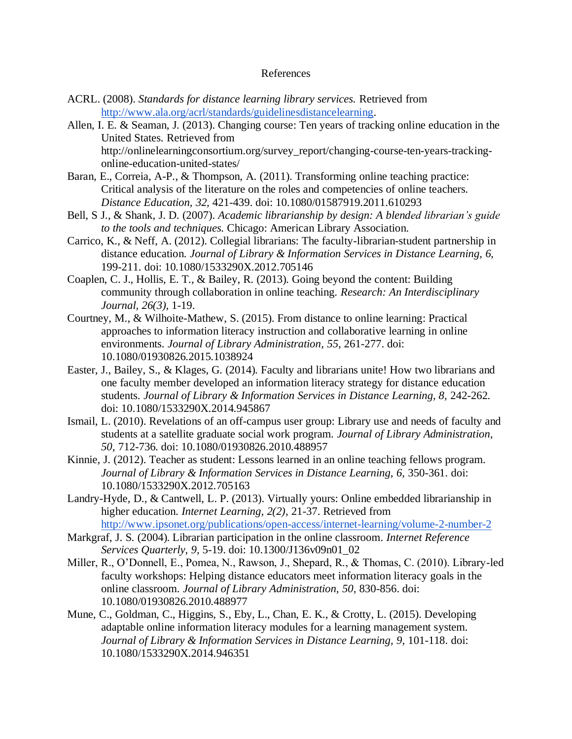#### References

- ACRL. (2008). *Standards for distance learning library services.* Retrieved from [http://www.ala.org/acrl/standards/guidelinesdistancelearning.](http://www.ala.org/acrl/standards/guidelinesdistancelearning)
- Allen, I. E. & Seaman, J. (2013). Changing course: Ten years of tracking online education in the United States. Retrieved from http://onlinelearningconsortium.org/survey\_report/changing-course-ten-years-trackingonline-education-united-states/
- Baran, E., Correia, A-P., & Thompson, A. (2011). Transforming online teaching practice: Critical analysis of the literature on the roles and competencies of online teachers. *Distance Education, 32,* 421-439. doi: 10.1080/01587919.2011.610293
- Bell, S J., & Shank, J. D. (2007). *Academic librarianship by design: A blended librarian's guide to the tools and techniques.* Chicago: American Library Association.
- Carrico, K., & Neff, A. (2012). Collegial librarians: The faculty-librarian-student partnership in distance education. *Journal of Library & Information Services in Distance Learning, 6,*  199-211. doi: 10.1080/1533290X.2012.705146
- Coaplen, C. J., Hollis, E. T., & Bailey, R. (2013). Going beyond the content: Building community through collaboration in online teaching. *Research: An Interdisciplinary Journal, 26(3),* 1-19.
- Courtney, M., & Wilhoite-Mathew, S. (2015). From distance to online learning: Practical approaches to information literacy instruction and collaborative learning in online environments. *Journal of Library Administration*, *55,* 261-277. doi: 10.1080/01930826.2015.1038924
- Easter, J., Bailey, S., & Klages, G. (2014). Faculty and librarians unite! How two librarians and one faculty member developed an information literacy strategy for distance education students. *Journal of Library & Information Services in Distance Learning, 8, 242-262.* doi: 10.1080/1533290X.2014.945867
- Ismail, L. (2010). Revelations of an off-campus user group: Library use and needs of faculty and students at a satellite graduate social work program. *Journal of Library Administration, 50,* 712-736. doi: 10.1080/01930826.2010.488957
- Kinnie, J. (2012). Teacher as student: Lessons learned in an online teaching fellows program. *Journal of Library & Information Services in Distance Learning, 6, 350-361. doi:* 10.1080/1533290X.2012.705163
- Landry-Hyde, D., & Cantwell, L. P. (2013). Virtually yours: Online embedded librarianship in higher education. *Internet Learning, 2(2),* 21-37. Retrieved from <http://www.ipsonet.org/publications/open-access/internet-learning/volume-2-number-2>
- Markgraf, J. S. (2004). Librarian participation in the online classroom. *Internet Reference Services Quarterly, 9,* 5-19. doi: 10.1300/J136v09n01\_02
- Miller, R., O'Donnell, E., Pomea, N., Rawson, J., Shepard, R., & Thomas, C. (2010). Library-led faculty workshops: Helping distance educators meet information literacy goals in the online classroom. *Journal of Library Administration, 50,* 830-856. doi: 10.1080/01930826.2010.488977
- Mune, C., Goldman, C., Higgins, S., Eby, L., Chan, E. K., & Crotty, L. (2015). Developing adaptable online information literacy modules for a learning management system. *Journal of Library & Information Services in Distance Learning, 9,* 101-118. doi: 10.1080/1533290X.2014.946351